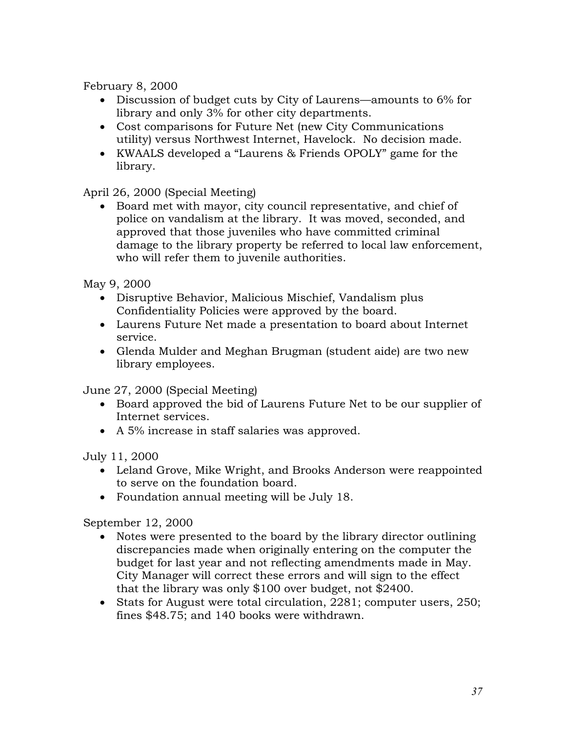February 8, 2000

- Discussion of budget cuts by City of Laurens—amounts to 6% for library and only 3% for other city departments.
- Cost comparisons for Future Net (new City Communications utility) versus Northwest Internet, Havelock. No decision made.
- KWAALS developed a "Laurens & Friends OPOLY" game for the library.

## April 26, 2000 (Special Meeting)

 Board met with mayor, city council representative, and chief of police on vandalism at the library. It was moved, seconded, and approved that those juveniles who have committed criminal damage to the library property be referred to local law enforcement, who will refer them to juvenile authorities.

May 9, 2000

- Disruptive Behavior, Malicious Mischief, Vandalism plus Confidentiality Policies were approved by the board.
- Laurens Future Net made a presentation to board about Internet service.
- Glenda Mulder and Meghan Brugman (student aide) are two new library employees.

June 27, 2000 (Special Meeting)

- Board approved the bid of Laurens Future Net to be our supplier of Internet services.
- A 5% increase in staff salaries was approved.

July 11, 2000

- Leland Grove, Mike Wright, and Brooks Anderson were reappointed to serve on the foundation board.
- Foundation annual meeting will be July 18.

## September 12, 2000

- Notes were presented to the board by the library director outlining discrepancies made when originally entering on the computer the budget for last year and not reflecting amendments made in May. City Manager will correct these errors and will sign to the effect that the library was only \$100 over budget, not \$2400.
- Stats for August were total circulation, 2281; computer users, 250; fines \$48.75; and 140 books were withdrawn.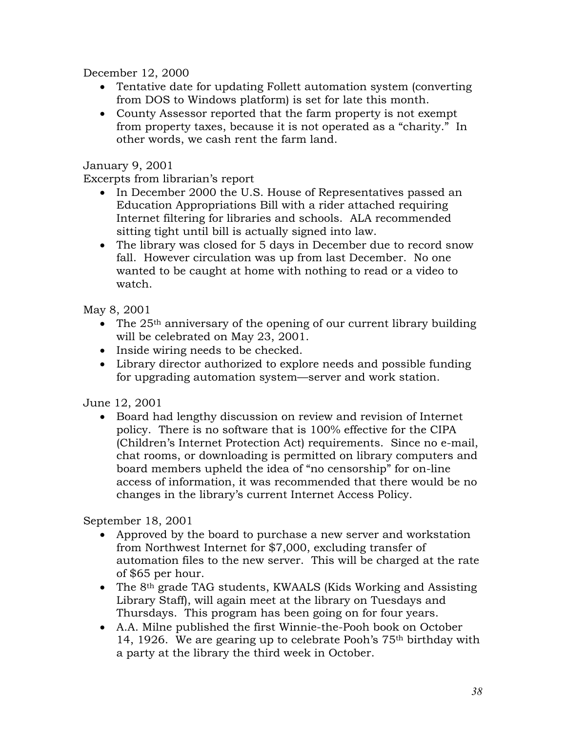December 12, 2000

- Tentative date for updating Follett automation system (converting from DOS to Windows platform) is set for late this month.
- County Assessor reported that the farm property is not exempt from property taxes, because it is not operated as a "charity." In other words, we cash rent the farm land.

January 9, 2001

Excerpts from librarian's report

- In December 2000 the U.S. House of Representatives passed an Education Appropriations Bill with a rider attached requiring Internet filtering for libraries and schools. ALA recommended sitting tight until bill is actually signed into law.
- The library was closed for 5 days in December due to record snow fall. However circulation was up from last December. No one wanted to be caught at home with nothing to read or a video to watch.

May 8, 2001

- The  $25<sup>th</sup>$  anniversary of the opening of our current library building will be celebrated on May 23, 2001.
- Inside wiring needs to be checked.
- Library director authorized to explore needs and possible funding for upgrading automation system—server and work station.

June 12, 2001

 Board had lengthy discussion on review and revision of Internet policy. There is no software that is 100% effective for the CIPA (Children's Internet Protection Act) requirements. Since no e-mail, chat rooms, or downloading is permitted on library computers and board members upheld the idea of "no censorship" for on-line access of information, it was recommended that there would be no changes in the library's current Internet Access Policy.

September 18, 2001

- Approved by the board to purchase a new server and workstation from Northwest Internet for \$7,000, excluding transfer of automation files to the new server. This will be charged at the rate of \$65 per hour.
- The 8<sup>th</sup> grade TAG students, KWAALS (Kids Working and Assisting Library Staff), will again meet at the library on Tuesdays and Thursdays. This program has been going on for four years.
- A.A. Milne published the first Winnie-the-Pooh book on October 14, 1926. We are gearing up to celebrate Pooh's 75th birthday with a party at the library the third week in October.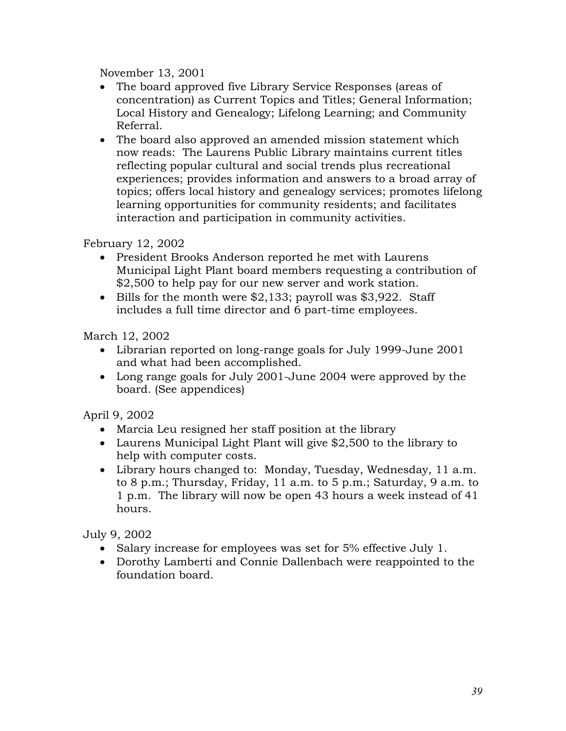November 13, 2001

- The board approved five Library Service Responses (areas of concentration) as Current Topics and Titles; General Information; Local History and Genealogy; Lifelong Learning; and Community Referral.
- The board also approved an amended mission statement which now reads: The Laurens Public Library maintains current titles reflecting popular cultural and social trends plus recreational experiences; provides information and answers to a broad array of topics; offers local history and genealogy services; promotes lifelong learning opportunities for community residents; and facilitates interaction and participation in community activities.

February 12, 2002

- President Brooks Anderson reported he met with Laurens Municipal Light Plant board members requesting a contribution of \$2,500 to help pay for our new server and work station.
- Bills for the month were \$2,133; payroll was \$3,922. Staff includes a full time director and 6 part-time employees.

March 12, 2002

- Librarian reported on long-range goals for July 1999-June 2001 and what had been accomplished.
- Long range goals for July 2001-June 2004 were approved by the board. (See appendices)

April 9, 2002

- Marcia Leu resigned her staff position at the library
- Laurens Municipal Light Plant will give \$2,500 to the library to help with computer costs.
- Library hours changed to: Monday, Tuesday, Wednesday, 11 a.m. to 8 p.m.; Thursday, Friday, 11 a.m. to 5 p.m.; Saturday, 9 a.m. to 1 p.m. The library will now be open 43 hours a week instead of 41 hours.

July 9, 2002

- Salary increase for employees was set for 5% effective July 1.
- Dorothy Lamberti and Connie Dallenbach were reappointed to the foundation board.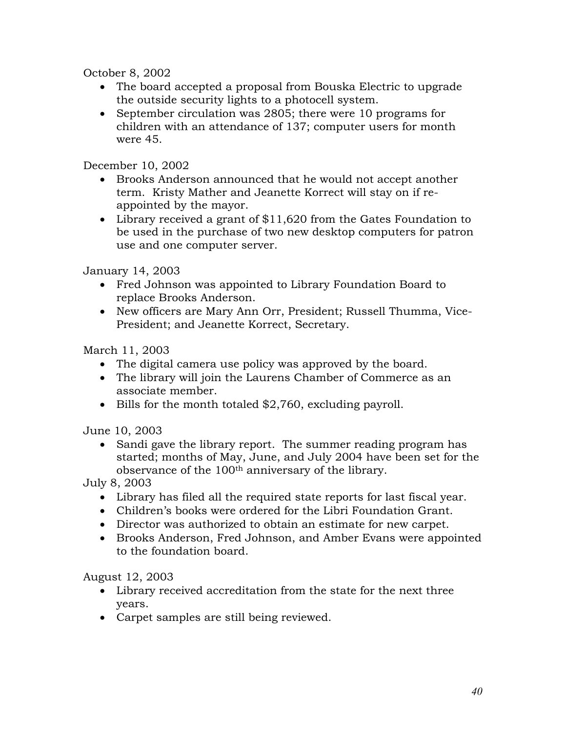October 8, 2002

- The board accepted a proposal from Bouska Electric to upgrade the outside security lights to a photocell system.
- September circulation was 2805; there were 10 programs for children with an attendance of 137; computer users for month were 45.

December 10, 2002

- Brooks Anderson announced that he would not accept another term. Kristy Mather and Jeanette Korrect will stay on if reappointed by the mayor.
- Library received a grant of \$11,620 from the Gates Foundation to be used in the purchase of two new desktop computers for patron use and one computer server.

January 14, 2003

- Fred Johnson was appointed to Library Foundation Board to replace Brooks Anderson.
- New officers are Mary Ann Orr, President; Russell Thumma, Vice-President; and Jeanette Korrect, Secretary.

March 11, 2003

- The digital camera use policy was approved by the board.
- The library will join the Laurens Chamber of Commerce as an associate member.
- Bills for the month totaled \$2,760, excluding payroll.

June 10, 2003

• Sandi gave the library report. The summer reading program has started; months of May, June, and July 2004 have been set for the observance of the 100th anniversary of the library.

July 8, 2003

- Library has filed all the required state reports for last fiscal year.
- Children's books were ordered for the Libri Foundation Grant.
- Director was authorized to obtain an estimate for new carpet.
- Brooks Anderson, Fred Johnson, and Amber Evans were appointed to the foundation board.

August 12, 2003

- Library received accreditation from the state for the next three years.
- Carpet samples are still being reviewed.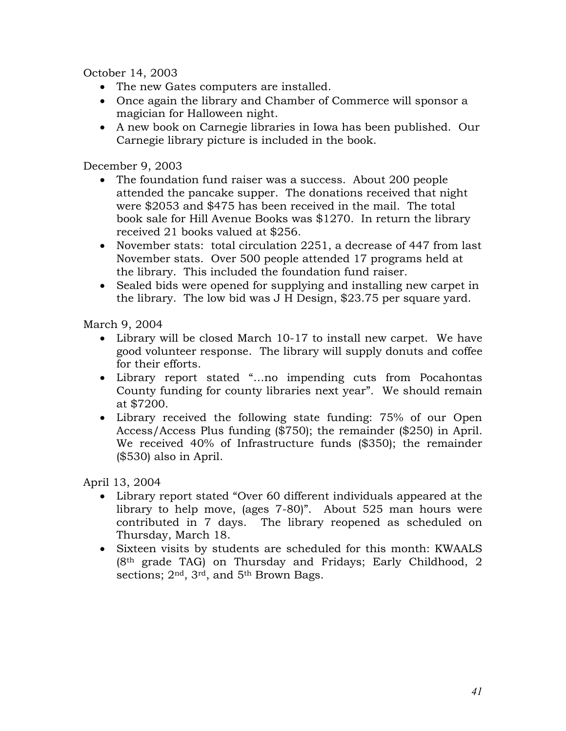October 14, 2003

- The new Gates computers are installed.
- Once again the library and Chamber of Commerce will sponsor a magician for Halloween night.
- A new book on Carnegie libraries in Iowa has been published. Our Carnegie library picture is included in the book.

December 9, 2003

- The foundation fund raiser was a success. About 200 people attended the pancake supper. The donations received that night were \$2053 and \$475 has been received in the mail. The total book sale for Hill Avenue Books was \$1270. In return the library received 21 books valued at \$256.
- November stats: total circulation 2251, a decrease of 447 from last November stats. Over 500 people attended 17 programs held at the library. This included the foundation fund raiser.
- Sealed bids were opened for supplying and installing new carpet in the library. The low bid was J H Design, \$23.75 per square yard.

March 9, 2004

- Library will be closed March 10-17 to install new carpet. We have good volunteer response. The library will supply donuts and coffee for their efforts.
- Library report stated "…no impending cuts from Pocahontas County funding for county libraries next year". We should remain at \$7200.
- Library received the following state funding: 75% of our Open Access/Access Plus funding (\$750); the remainder (\$250) in April. We received 40% of Infrastructure funds (\$350); the remainder (\$530) also in April.

April 13, 2004

- Library report stated "Over 60 different individuals appeared at the library to help move, (ages 7-80)". About 525 man hours were contributed in 7 days. The library reopened as scheduled on Thursday, March 18.
- Sixteen visits by students are scheduled for this month: KWAALS (8th grade TAG) on Thursday and Fridays; Early Childhood, 2 sections; 2<sup>nd</sup>, 3<sup>rd</sup>, and 5<sup>th</sup> Brown Bags.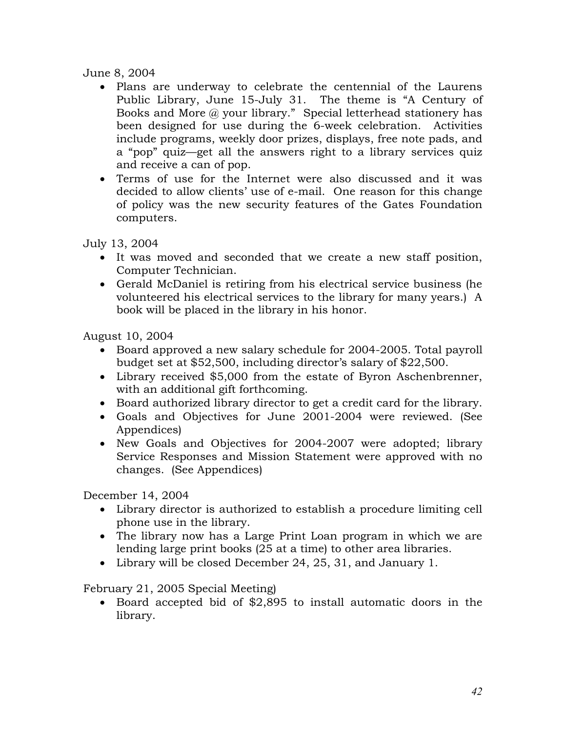## June 8, 2004

- Plans are underway to celebrate the centennial of the Laurens Public Library, June 15-July 31. The theme is "A Century of Books and More @ your library." Special letterhead stationery has been designed for use during the 6-week celebration. Activities include programs, weekly door prizes, displays, free note pads, and a "pop" quiz—get all the answers right to a library services quiz and receive a can of pop.
- Terms of use for the Internet were also discussed and it was decided to allow clients' use of e-mail. One reason for this change of policy was the new security features of the Gates Foundation computers.

July 13, 2004

- It was moved and seconded that we create a new staff position, Computer Technician.
- Gerald McDaniel is retiring from his electrical service business (he volunteered his electrical services to the library for many years.) A book will be placed in the library in his honor.

August 10, 2004

- Board approved a new salary schedule for 2004-2005. Total payroll budget set at \$52,500, including director's salary of \$22,500.
- Library received \$5,000 from the estate of Byron Aschenbrenner, with an additional gift forthcoming.
- Board authorized library director to get a credit card for the library.
- Goals and Objectives for June 2001-2004 were reviewed. (See Appendices)
- New Goals and Objectives for 2004-2007 were adopted; library Service Responses and Mission Statement were approved with no changes. (See Appendices)

December 14, 2004

- Library director is authorized to establish a procedure limiting cell phone use in the library.
- The library now has a Large Print Loan program in which we are lending large print books (25 at a time) to other area libraries.
- Library will be closed December 24, 25, 31, and January 1.

February 21, 2005 Special Meeting)

 Board accepted bid of \$2,895 to install automatic doors in the library.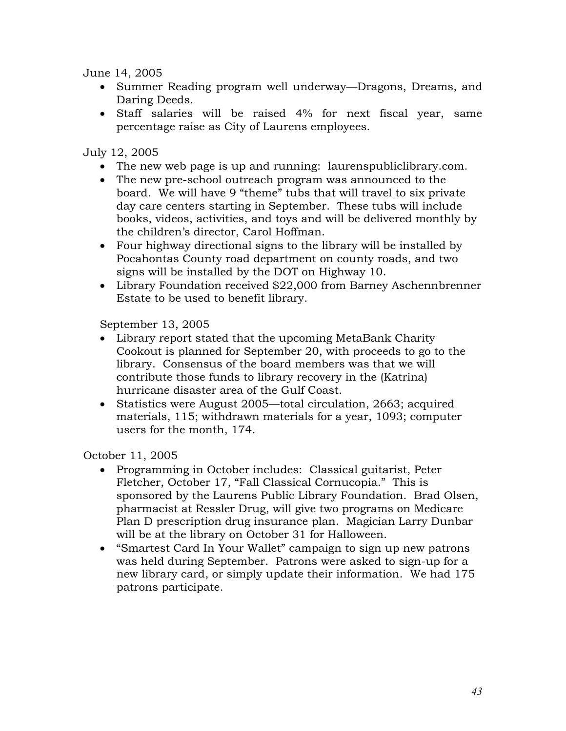June 14, 2005

- Summer Reading program well underway—Dragons, Dreams, and Daring Deeds.
- Staff salaries will be raised 4% for next fiscal year, same percentage raise as City of Laurens employees.

July 12, 2005

- The new web page is up and running: laurenspubliclibrary.com.
- The new pre-school outreach program was announced to the board. We will have 9 "theme" tubs that will travel to six private day care centers starting in September. These tubs will include books, videos, activities, and toys and will be delivered monthly by the children's director, Carol Hoffman.
- Four highway directional signs to the library will be installed by Pocahontas County road department on county roads, and two signs will be installed by the DOT on Highway 10.
- Library Foundation received \$22,000 from Barney Aschennbrenner Estate to be used to benefit library.

September 13, 2005

- Library report stated that the upcoming MetaBank Charity Cookout is planned for September 20, with proceeds to go to the library. Consensus of the board members was that we will contribute those funds to library recovery in the (Katrina) hurricane disaster area of the Gulf Coast.
- Statistics were August 2005—total circulation, 2663; acquired materials, 115; withdrawn materials for a year, 1093; computer users for the month, 174.

October 11, 2005

- Programming in October includes: Classical guitarist, Peter Fletcher, October 17, "Fall Classical Cornucopia." This is sponsored by the Laurens Public Library Foundation. Brad Olsen, pharmacist at Ressler Drug, will give two programs on Medicare Plan D prescription drug insurance plan. Magician Larry Dunbar will be at the library on October 31 for Halloween.
- "Smartest Card In Your Wallet" campaign to sign up new patrons was held during September. Patrons were asked to sign-up for a new library card, or simply update their information. We had 175 patrons participate.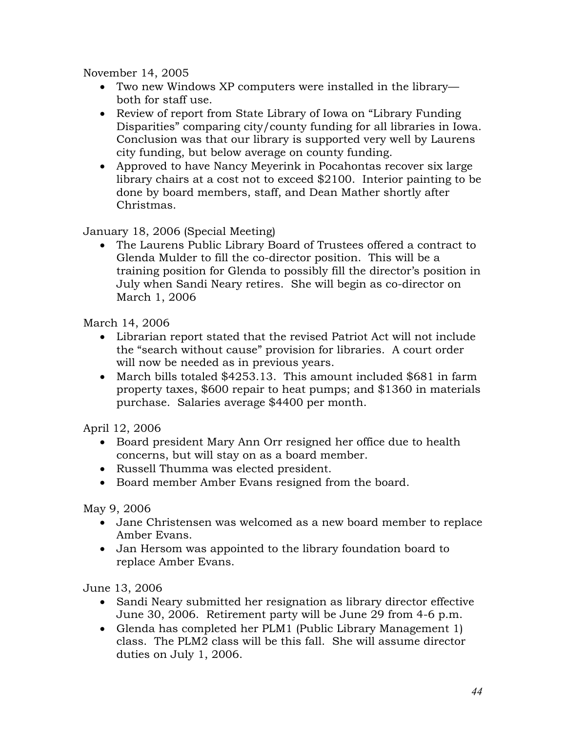November 14, 2005

- Two new Windows XP computers were installed in the library both for staff use.
- Review of report from State Library of Iowa on "Library Funding" Disparities" comparing city/county funding for all libraries in Iowa. Conclusion was that our library is supported very well by Laurens city funding, but below average on county funding.
- Approved to have Nancy Meyerink in Pocahontas recover six large library chairs at a cost not to exceed \$2100. Interior painting to be done by board members, staff, and Dean Mather shortly after Christmas.

January 18, 2006 (Special Meeting)

 The Laurens Public Library Board of Trustees offered a contract to Glenda Mulder to fill the co-director position. This will be a training position for Glenda to possibly fill the director's position in July when Sandi Neary retires. She will begin as co-director on March 1, 2006

March 14, 2006

- Librarian report stated that the revised Patriot Act will not include the "search without cause" provision for libraries. A court order will now be needed as in previous years.
- March bills totaled \$4253.13. This amount included \$681 in farm property taxes, \$600 repair to heat pumps; and \$1360 in materials purchase. Salaries average \$4400 per month.

April 12, 2006

- Board president Mary Ann Orr resigned her office due to health concerns, but will stay on as a board member.
- Russell Thumma was elected president.
- Board member Amber Evans resigned from the board.

May 9, 2006

- Jane Christensen was welcomed as a new board member to replace Amber Evans.
- Jan Hersom was appointed to the library foundation board to replace Amber Evans.

June 13, 2006

- Sandi Neary submitted her resignation as library director effective June 30, 2006. Retirement party will be June 29 from 4-6 p.m.
- Glenda has completed her PLM1 (Public Library Management 1) class. The PLM2 class will be this fall. She will assume director duties on July 1, 2006.